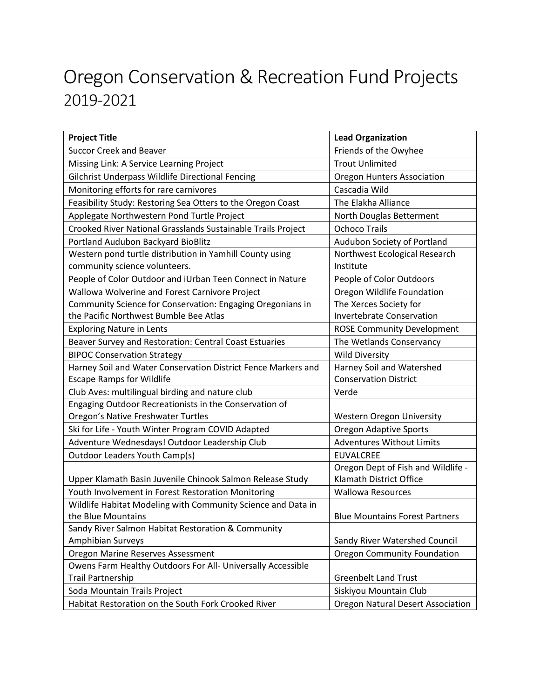## Oregon Conservation & Recreation Fund Projects 2019-2021

| <b>Project Title</b>                                          | <b>Lead Organization</b>                 |
|---------------------------------------------------------------|------------------------------------------|
| <b>Succor Creek and Beaver</b>                                | Friends of the Owyhee                    |
| Missing Link: A Service Learning Project                      | <b>Trout Unlimited</b>                   |
| Gilchrist Underpass Wildlife Directional Fencing              | <b>Oregon Hunters Association</b>        |
| Monitoring efforts for rare carnivores                        | Cascadia Wild                            |
| Feasibility Study: Restoring Sea Otters to the Oregon Coast   | The Elakha Alliance                      |
| Applegate Northwestern Pond Turtle Project                    | North Douglas Betterment                 |
| Crooked River National Grasslands Sustainable Trails Project  | <b>Ochoco Trails</b>                     |
| Portland Audubon Backyard BioBlitz                            | Audubon Society of Portland              |
| Western pond turtle distribution in Yamhill County using      | Northwest Ecological Research            |
| community science volunteers.                                 | Institute                                |
| People of Color Outdoor and iUrban Teen Connect in Nature     | People of Color Outdoors                 |
| Wallowa Wolverine and Forest Carnivore Project                | Oregon Wildlife Foundation               |
| Community Science for Conservation: Engaging Oregonians in    | The Xerces Society for                   |
| the Pacific Northwest Bumble Bee Atlas                        | Invertebrate Conservation                |
| <b>Exploring Nature in Lents</b>                              | <b>ROSE Community Development</b>        |
| Beaver Survey and Restoration: Central Coast Estuaries        | The Wetlands Conservancy                 |
| <b>BIPOC Conservation Strategy</b>                            | <b>Wild Diversity</b>                    |
| Harney Soil and Water Conservation District Fence Markers and | Harney Soil and Watershed                |
| <b>Escape Ramps for Wildlife</b>                              | <b>Conservation District</b>             |
| Club Aves: multilingual birding and nature club               | Verde                                    |
| Engaging Outdoor Recreationists in the Conservation of        |                                          |
| Oregon's Native Freshwater Turtles                            | Western Oregon University                |
| Ski for Life - Youth Winter Program COVID Adapted             | <b>Oregon Adaptive Sports</b>            |
| Adventure Wednesdays! Outdoor Leadership Club                 | <b>Adventures Without Limits</b>         |
| <b>Outdoor Leaders Youth Camp(s)</b>                          | <b>EUVALCREE</b>                         |
|                                                               | Oregon Dept of Fish and Wildlife -       |
| Upper Klamath Basin Juvenile Chinook Salmon Release Study     | Klamath District Office                  |
| Youth Involvement in Forest Restoration Monitoring            | <b>Wallowa Resources</b>                 |
| Wildlife Habitat Modeling with Community Science and Data in  |                                          |
| the Blue Mountains                                            | <b>Blue Mountains Forest Partners</b>    |
| Sandy River Salmon Habitat Restoration & Community            |                                          |
| Amphibian Surveys                                             | Sandy River Watershed Council            |
| Oregon Marine Reserves Assessment                             | <b>Oregon Community Foundation</b>       |
| Owens Farm Healthy Outdoors For All- Universally Accessible   | <b>Greenbelt Land Trust</b>              |
| <b>Trail Partnership</b>                                      |                                          |
| Soda Mountain Trails Project                                  | Siskiyou Mountain Club                   |
| Habitat Restoration on the South Fork Crooked River           | <b>Oregon Natural Desert Association</b> |